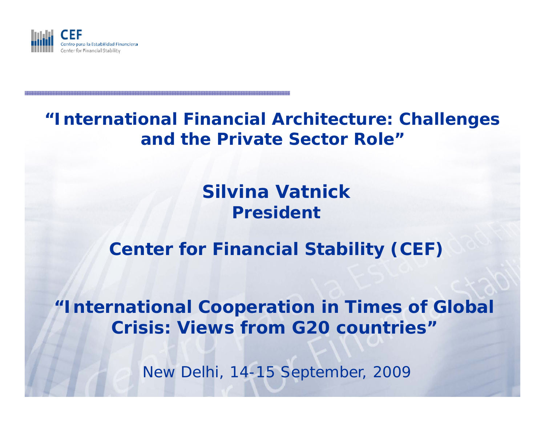

### **"International Financial Architecture: Challenges and the Private Sector Role"**

# **Silvina Vatnick President**

# **Center for Financial Stability (CEF)**

**"International Cooperation in Times of Global Crisis: Views from G20 countries"**

New Delhi, 14-15 September, 2009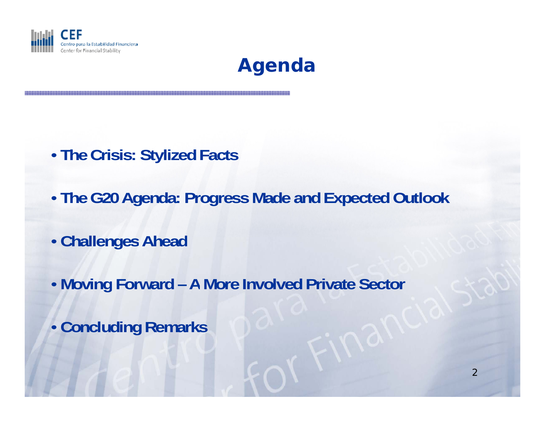



- **The Crisis: Stylized Facts**
- **The G20 Agenda: Progress Made and Expected Outlook**
- **Challenges Ahead**
- **Moving Forward – A More Involved Private Sector**
- **Concluding Remarks**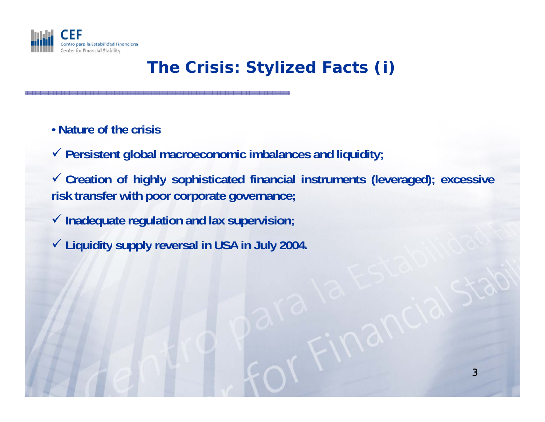

# **The Crisis: Stylized Facts (i)**

• **Nature of the crisis**

9 **Persistent global macroeconomic imbalances and liquidity;**

9 **Creation of hig y hl sophisticated financial instruments ( g) leveraged); excessive risk transfer with poor corporate governance;**

9 **Inadequate regulation and lax supervision;**

9 **Liquidity supply reversal in USA in July 2004.**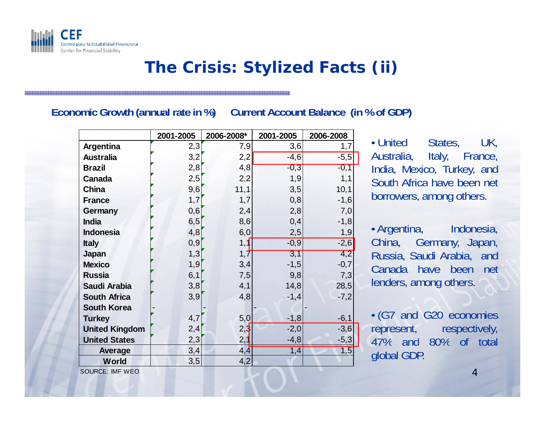

#### **The Crisis: Stylized Facts (ii)**

#### **Economic Growth (annual rate in %) Current Account Balance (in % of GDP)**

|                       | 2001-2005 | 2006-2008* | 2001-2005 | 2006-2008 |                             |
|-----------------------|-----------|------------|-----------|-----------|-----------------------------|
| Argentina             | 2,3       | 7,9        | 3,6       |           | • United<br>States,<br>UK.  |
| <b>Australia</b>      | 3,2       | 2,2        | $-4,6$    | $-5,5$    | Australia, Italy, France,   |
| <b>Brazil</b>         | 2,8       | 4,8        | $-0,3$    | $-0,1$    | India, Mexico, Turkey, and  |
| Canada                | 2,5       | 2,2        | 1,9       | 1,1       | South Africa have been net  |
| <b>China</b>          | 9,6       | 11,1       | 3,5       | 10,1      |                             |
| <b>France</b>         | 1,7       | 1,7        | 0,8       | $-1,6$    | borrowers, among others.    |
| Germany               | 0,6       | 2,4        | 2,8       | 7,0       |                             |
| <b>India</b>          | 6,5       | 8,6        | 0,4       | $-1,8$    |                             |
| <b>Indonesia</b>      | 4,8       | 6,0        | 2,5       | 1,9       | • Argentina, Indonesia,     |
| <b>Italy</b>          | 0,9       | 1,1        | $-0,9$    | $-2,6$    | China, Germany, Japan,      |
| Japan                 | 1,3       | 1,7        | 3,1       | 4,2       | Russia, Saudi Arabia, and   |
| <b>Mexico</b>         | 1,9       | 3,4        | $-1,5$    | $-0,7$    | Canada have been<br>net     |
| <b>Russia</b>         | 6,1       | 7,5        | 9,8       | 7,3       |                             |
| Saudi Arabia          | 3,8       | 4,1        | 14,8      | 28,5      | lenders, among others.      |
| <b>South Africa</b>   | 3,9       | 4,8        | $-1,4$    | $-7,2$    |                             |
| <b>South Korea</b>    |           |            |           |           |                             |
| <b>Turkey</b>         | 4,7       | 5,0        | $-1,8$    | $-6,1$    | • (G7 and G20 economies     |
| <b>United Kingdom</b> | 2,4       | 2,3        | $-2,0$    | $-3,6$    | represent,<br>respectively, |
| <b>United States</b>  | 2,3       | 2,1        | $-4,8$    | $-5,3$    | 47% and<br>80% of total     |
| Average               | 3,4       | 4, 4       | 1,4       | 1,5       | global GDP.                 |
| World                 | 3,5       | 4,2        |           |           |                             |

SOURCE: IMF WEO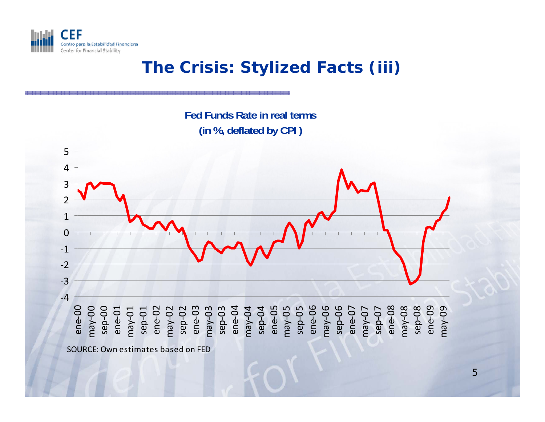

# **The Crisis: Stylized Facts (iii)**

**Fed Funds Rate in real terms (in % deflated by CPI ) %,** 

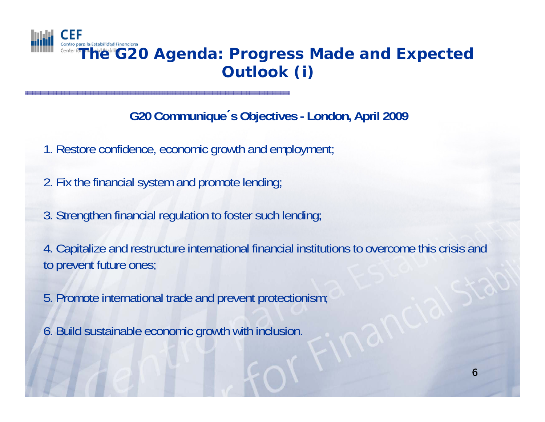

# **The G20 Agenda: Progress Made and Expected Outlook ( )i**

#### **G20 Communique**´**s Objectives - London, April 2009**

- 1. Restore confidence, economic growth and employment;
- 2. Fix the financial system and promote lending;
- 3. Strengthen financial regulation to foster such lending;

4. Capitalize and restructure international financial institutions to overcome this crisis and to prevent future ones;

- 5. Promote international trade and prevent protectionism;
- 6. Build sustainable economic growth with inclusion.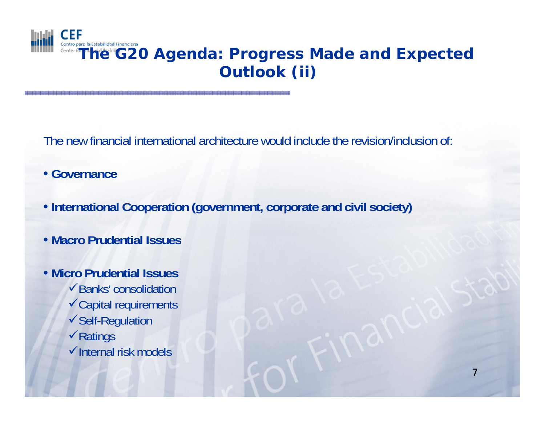

# Center fo**T he G20 Agenda: Progress Made and Expected Outlook ( ) ii**

7

The new financial international architecture would include the revision/inclusion of:

- **Governance**
- **International Cooperation (government, corporate and civil society)**
- **Macro Prudential Issues**
- **Micro Prudential Issues**  $\checkmark$  Banks' consolidation <sup>9</sup>Capital requirements <sup>9</sup>Self-Regulation  $\sqrt{R}$ atings  $\checkmark$ Internal risk models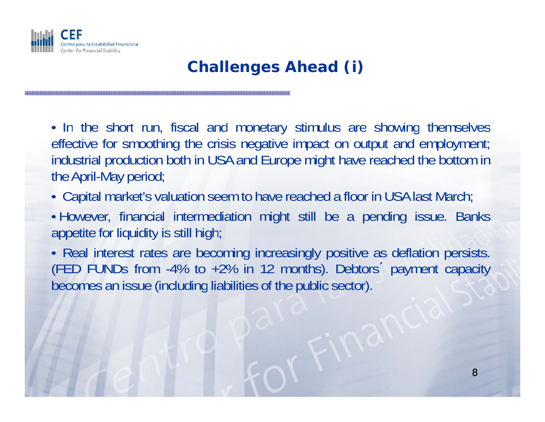

## **Challenges Ahead (i)**

• In the short run, fiscal and monetary stimulus are showing themselves effective for smoothing the crisis negative impact on output and employment; industrial production both in USA and Europe might have reached the bottom in the April-May period;

• Capital market's valuation seem to have reached <sup>a</sup> floor in USA last March;

• However, financial intermediation might still be <sup>a</sup> pending issue. Banks appetite for liquidity is still high;

• Real interest rates are becoming increasingly positive as deflation persists. (FED FUNDs from -4% to +2% in 12 months). Debtors´ payment capacity becomes an issue (including liabilities of the public sector).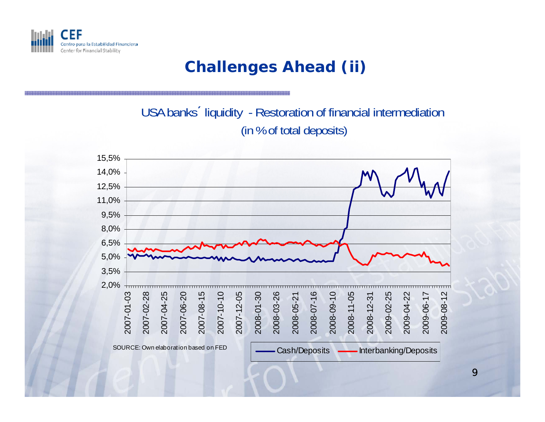

#### **Challenges Ahead (ii)**

USA banks´ liquidity - Restoration of financial intermediation (in % of total deposits)

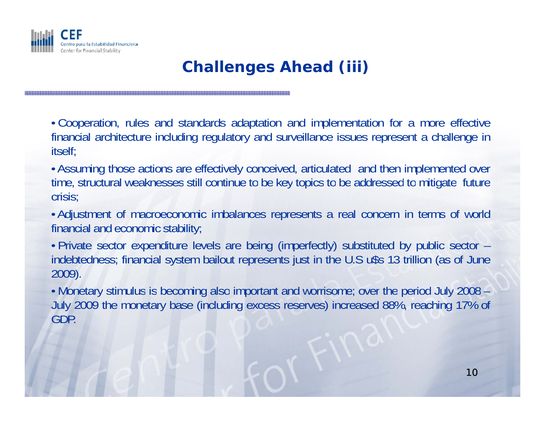

# **Challenges Ahead (iii)**

• Cooperation, rules and standards adaptation and implementation for <sup>a</sup> more effective financial architecture including regulatory and surveillance issues represent <sup>a</sup> challenge in itself;

• Assuming those actions are effectively conceived, articulated and then implemented over time, structural weaknesses still continue to be key topics to be addressed to mitigate future crisis;

• Adjustment of macroeconomic imbalances represents <sup>a</sup> real concern in terms of world financial and economic stability;

• Private sector expenditure levels are being (imperfectly) substituted by public sector – indebtedness; financial system bailout represents just in the U.S u\$s 13 trillion (as of June 2009).

• Monetary stimulus is becoming also important and worrisome; over the period July 2008 – July 2009 the monetary base (including excess reserves) increased 88%, reaching 17% of GDP.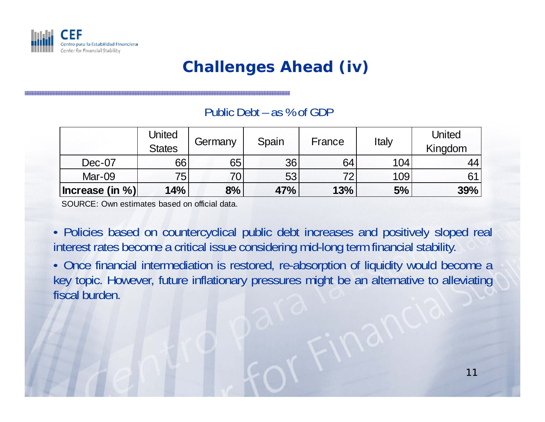

## **Challenges Ahead (iv)**

#### Public Debt – as % of GDP

|                     | United<br><b>States</b> | Germany         | Spain | France | Italy | United<br>Kingdom |
|---------------------|-------------------------|-----------------|-------|--------|-------|-------------------|
| Dec-07              | 66                      | 65              | 36    | 64     | 104   | 44                |
| Mar-09              | 75 <sub>1</sub>         | 70 <sub>1</sub> | 53    | 72     | 109   | 61                |
| $ $ Increase (in %) | 14%                     | 8%              | 47%   | 13%    | 5%    | 39%               |

SOURCE: Own estimates based on official data.

• Policies based on countercyclical public debt increases and positively sloped real interest rates become <sup>a</sup> critical issue considering mid-long term financial stability.

• Once financial intermediation is restored, re-absorption of liquidity would become <sup>a</sup> key topic. However, future inflationary pressures might be an alternative to alleviating fiscal burden.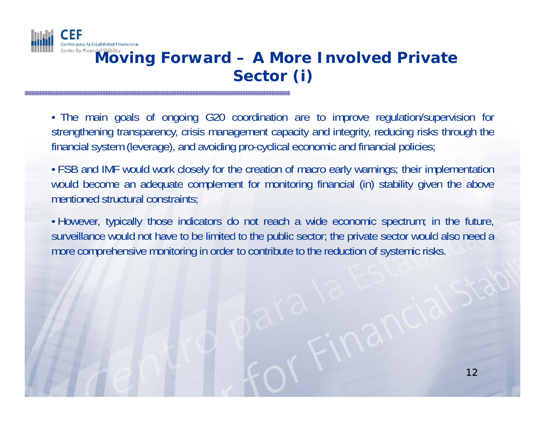

# **A Moving Forward – A More Involved Private Sector (i)**

• The main goals of ongoing G20 coordination are to improve regulation/supervision for strengthening transparency, crisis management capacity and integrity, reducing risks through the financial system (leverage), and avoiding pro-cyclical economic and financial policies;

• FSB and IMF would work closely for the creation of macro early warnings; their implementation would become an adequate complement for monitoring financial (in) stability given the above mentioned structural constraints;

• However, typically those indicators do not reach <sup>a</sup> wide economic spectrum; in the future, surveillance would not have to be limited to the public sector; the private sector would also need <sup>a</sup> more comprehensive monitoring in order to contribute to the reduction of systemic risks.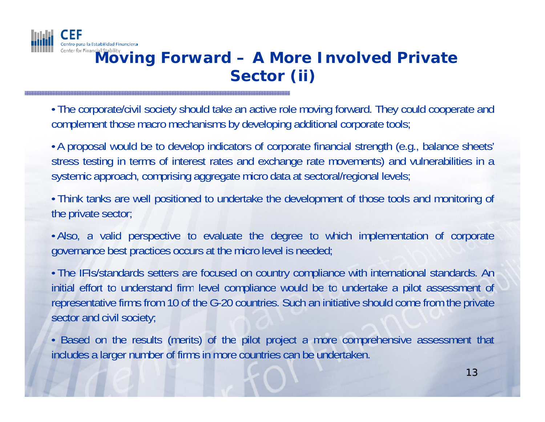

# **Enter for Financial Stability Moving Forward – A More Involved Private Sector (ii)**

• The corporate/civil society should take an active role moving forward. They could cooperate and complement those macro mechanisms by developing additional corporate tools;

• A proposal would be to develop indicators of corporate financial strength (e.g., balance sheets' stress testing in terms of interest rates and exchange rate movements) and vulnerabilities in <sup>a</sup> systemic approach, comprising aggregate micro data at sectoral/regional levels;

• Think tanks are well positioned to undertake the development of those tools and monitoring of the private sector;

• Also, <sup>a</sup> valid perspective to evaluate the degree to which implementation of corporate governance best practices occurs at the micro level is needed;

• The IFIs/standards setters are focused on country compliance with international standards. An initial effort to understand firm level compliance would be to undertake a pilot assessment of representative firms from 10 of the G-20 countries. Such an initiative should come from the private sector and civil society;

• Based on the results (merits) of the pilot project a more comprehensive assessment that includes <sup>a</sup> larger number of firms in more countries can be undertaken.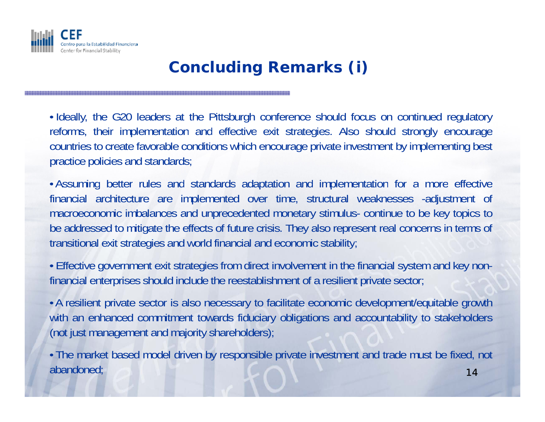

## **Concluding Remarks (i)**

• Ideally, the G20 leaders at the Pittsburgh conference should focus on continued regulatory reforms, their implementation and effective exit strategies. Also should strongly encourage countries to create favorable conditions which encourage private investment by implementing best practice policies and standards;

• Assuming better rules and standards adaptation and implementation for a more effective financial architecture are implemented over time, structural weaknesses -adjustment of macroeconomic imbalances and unprecedented monetary stimulus- continue to be key topics to be addressed to mitigate the effects of future crisis. They also represent real concerns in terms of transitional exit strategies and world financial and economic stability;

• Effective government exit strategies from direct involvement in the financial system and key nonfinancial enterprises should include the reestablishment of <sup>a</sup> resilient private sector;

• A resilient private sector is also necessary to facilitate economic development/equitable growth with an enhanced commitment towards fiduciary obligations and accountability to stakeholders (not just management and majority shareholders);

14• The market based model driven by responsible private investment and trade must be fixed, not abandoned;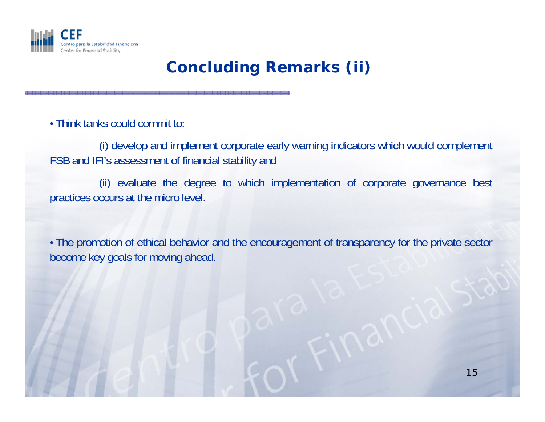

# **Concluding Remarks (ii)**

• Think tanks could commit to:

(i) develop and implement corporate early warning indicators which would complement FSB and IFI's assessment of financial stability and

(ii) evaluate the degree to which implementation of corporate governance best practices occurs at the micro level.

• The promotion of ethical behavior and the encouragement of transparency for the private sector become key goals for moving ahead.